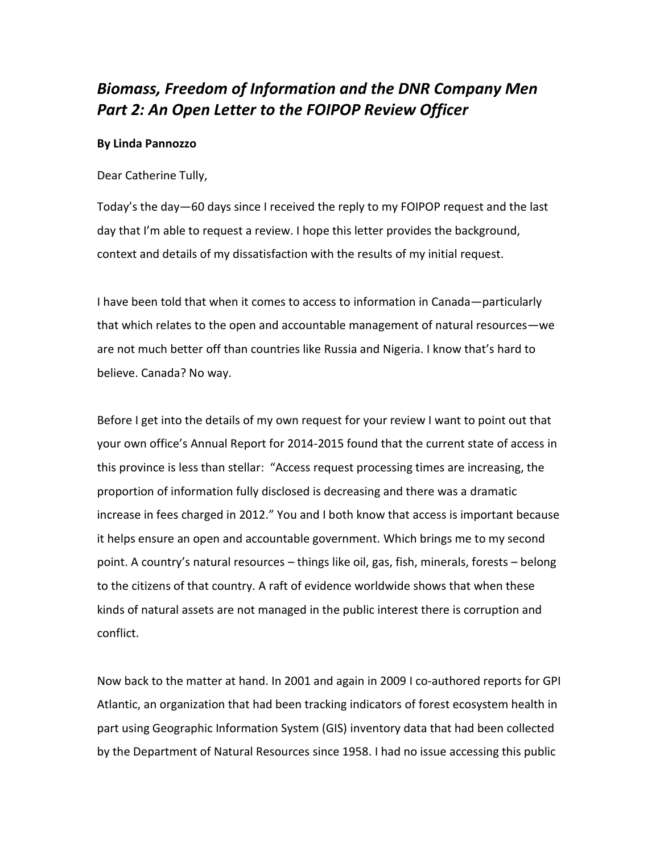## *Biomass, Freedom of Information and the DNR Company Men Part 2: An Open Letter to the FOIPOP Review Officer*

## **By Linda Pannozzo**

Dear Catherine Tully,

Today's the day—60 days since I received the reply to my FOIPOP request and the last day that I'm able to request a review. I hope this letter provides the background, context and details of my dissatisfaction with the results of my initial request.

I have been told that when it comes to access to information in Canada—particularly that which relates to the open and accountable management of natural resources—we are not much better off than countries like Russia and Nigeria. I know that's hard to believe. Canada? No way.

Before I get into the details of my own request for your review I want to point out that your own office's Annual Report for 2014-2015 found that the current state of access in this province is less than stellar: "Access request processing times are increasing, the proportion of information fully disclosed is decreasing and there was a dramatic increase in fees charged in 2012." You and I both know that access is important because it helps ensure an open and accountable government. Which brings me to my second point. A country's natural resources – things like oil, gas, fish, minerals, forests – belong to the citizens of that country. A raft of evidence worldwide shows that when these kinds of natural assets are not managed in the public interest there is corruption and conflict.

Now back to the matter at hand. In 2001 and again in 2009 I co-authored reports for GPI Atlantic, an organization that had been tracking indicators of forest ecosystem health in part using Geographic Information System (GIS) inventory data that had been collected by the Department of Natural Resources since 1958. I had no issue accessing this public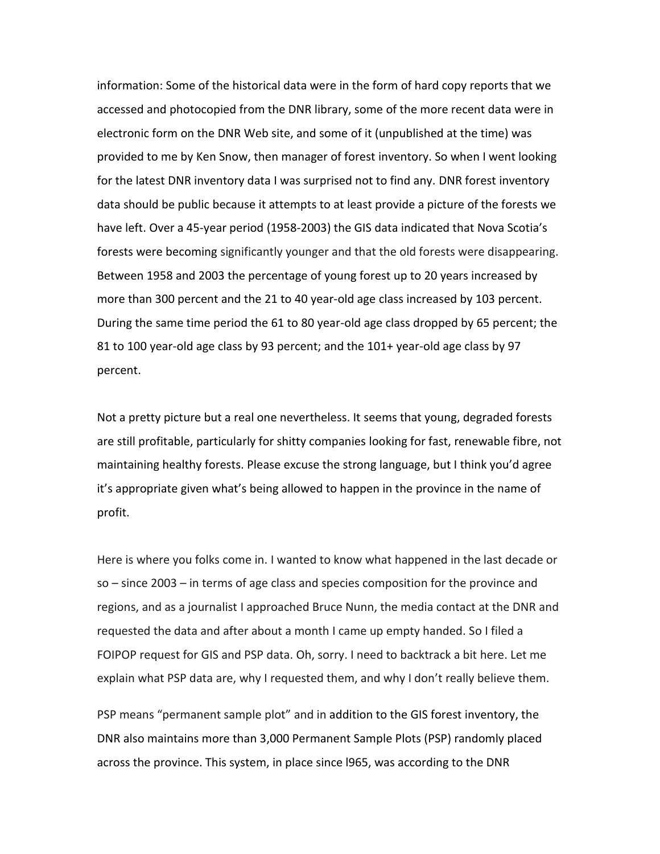information: Some of the historical data were in the form of hard copy reports that we accessed and photocopied from the DNR library, some of the more recent data were in electronic form on the DNR Web site, and some of it (unpublished at the time) was provided to me by Ken Snow, then manager of forest inventory. So when I went looking for the latest DNR inventory data I was surprised not to find any. DNR forest inventory data should be public because it attempts to at least provide a picture of the forests we have left. Over a 45-year period (1958-2003) the GIS data indicated that Nova Scotia's forests were becoming significantly younger and that the old forests were disappearing. Between 1958 and 2003 the percentage of young forest up to 20 years increased by more than 300 percent and the 21 to 40 year-old age class increased by 103 percent. During the same time period the 61 to 80 year-old age class dropped by 65 percent; the 81 to 100 year-old age class by 93 percent; and the 101+ year-old age class by 97 percent.

Not a pretty picture but a real one nevertheless. It seems that young, degraded forests are still profitable, particularly for shitty companies looking for fast, renewable fibre, not maintaining healthy forests. Please excuse the strong language, but I think you'd agree it's appropriate given what's being allowed to happen in the province in the name of profit.

Here is where you folks come in. I wanted to know what happened in the last decade or so – since 2003 – in terms of age class and species composition for the province and regions, and as a journalist I approached Bruce Nunn, the media contact at the DNR and requested the data and after about a month I came up empty handed. So I filed a FOIPOP request for GIS and PSP data. Oh, sorry. I need to backtrack a bit here. Let me explain what PSP data are, why I requested them, and why I don't really believe them.

PSP means "permanent sample plot" and in addition to the GIS forest inventory, the DNR also maintains more than 3,000 Permanent Sample Plots (PSP) randomly placed across the province. This system, in place since l965, was according to the DNR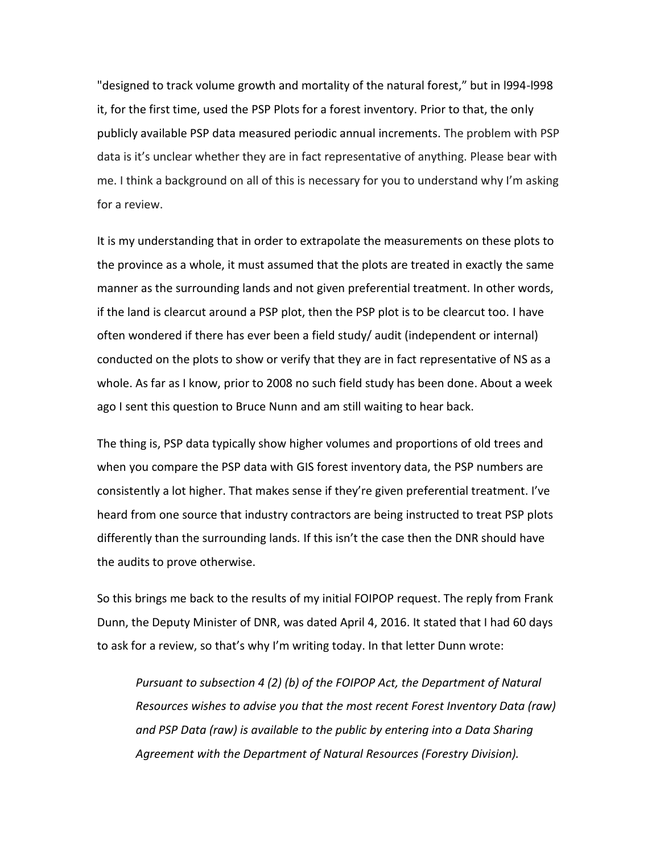"designed to track volume growth and mortality of the natural forest," but in l994-l998 it, for the first time, used the PSP Plots for a forest inventory. Prior to that, the only publicly available PSP data measured periodic annual increments. The problem with PSP data is it's unclear whether they are in fact representative of anything. Please bear with me. I think a background on all of this is necessary for you to understand why I'm asking for a review.

It is my understanding that in order to extrapolate the measurements on these plots to the province as a whole, it must assumed that the plots are treated in exactly the same manner as the surrounding lands and not given preferential treatment. In other words, if the land is clearcut around a PSP plot, then the PSP plot is to be clearcut too. I have often wondered if there has ever been a field study/ audit (independent or internal) conducted on the plots to show or verify that they are in fact representative of NS as a whole. As far as I know, prior to 2008 no such field study has been done. About a week ago I sent this question to Bruce Nunn and am still waiting to hear back.

The thing is, PSP data typically show higher volumes and proportions of old trees and when you compare the PSP data with GIS forest inventory data, the PSP numbers are consistently a lot higher. That makes sense if they're given preferential treatment. I've heard from one source that industry contractors are being instructed to treat PSP plots differently than the surrounding lands. If this isn't the case then the DNR should have the audits to prove otherwise.

So this brings me back to the results of my initial FOIPOP request. The reply from Frank Dunn, the Deputy Minister of DNR, was dated April 4, 2016. It stated that I had 60 days to ask for a review, so that's why I'm writing today. In that letter Dunn wrote:

*Pursuant to subsection 4 (2) (b) of the FOIPOP Act, the Department of Natural Resources wishes to advise you that the most recent Forest Inventory Data (raw) and PSP Data (raw) is available to the public by entering into a Data Sharing Agreement with the Department of Natural Resources (Forestry Division).*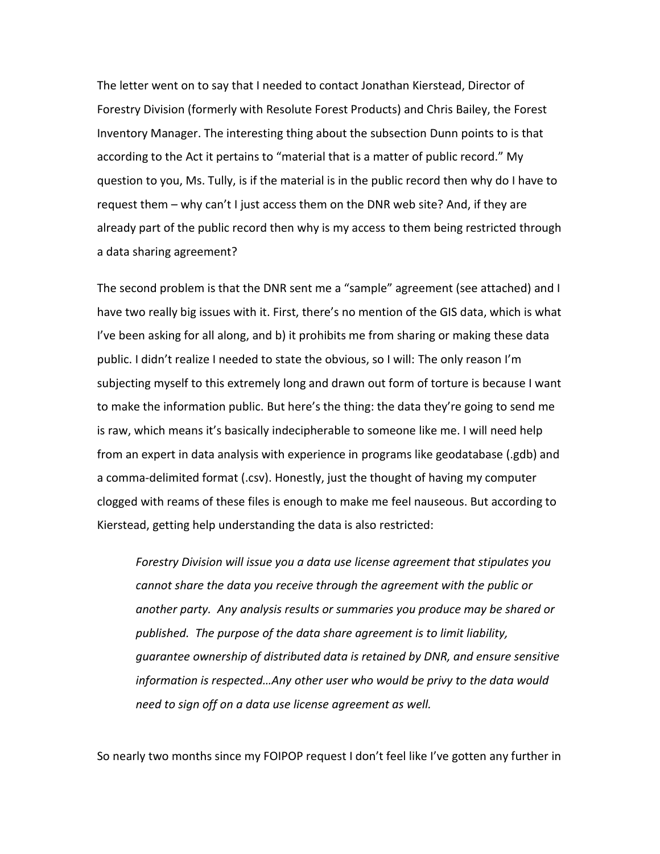The letter went on to say that I needed to contact Jonathan Kierstead, Director of Forestry Division (formerly with Resolute Forest Products) and Chris Bailey, the Forest Inventory Manager. The interesting thing about the subsection Dunn points to is that according to the Act it pertains to "material that is a matter of public record." My question to you, Ms. Tully, is if the material is in the public record then why do I have to request them – why can't I just access them on the DNR web site? And, if they are already part of the public record then why is my access to them being restricted through a data sharing agreement?

The second problem is that the DNR sent me a "sample" agreement (see attached) and I have two really big issues with it. First, there's no mention of the GIS data, which is what I've been asking for all along, and b) it prohibits me from sharing or making these data public. I didn't realize I needed to state the obvious, so I will: The only reason I'm subjecting myself to this extremely long and drawn out form of torture is because I want to make the information public. But here's the thing: the data they're going to send me is raw, which means it's basically indecipherable to someone like me. I will need help from an expert in data analysis with experience in programs like geodatabase (.gdb) and a comma-delimited format (.csv). Honestly, just the thought of having my computer clogged with reams of these files is enough to make me feel nauseous. But according to Kierstead, getting help understanding the data is also restricted:

*Forestry Division will issue you a data use license agreement that stipulates you cannot share the data you receive through the agreement with the public or another party. Any analysis results or summaries you produce may be shared or published. The purpose of the data share agreement is to limit liability, guarantee ownership of distributed data is retained by DNR, and ensure sensitive information is respected…Any other user who would be privy to the data would need to sign off on a data use license agreement as well.*

So nearly two months since my FOIPOP request I don't feel like I've gotten any further in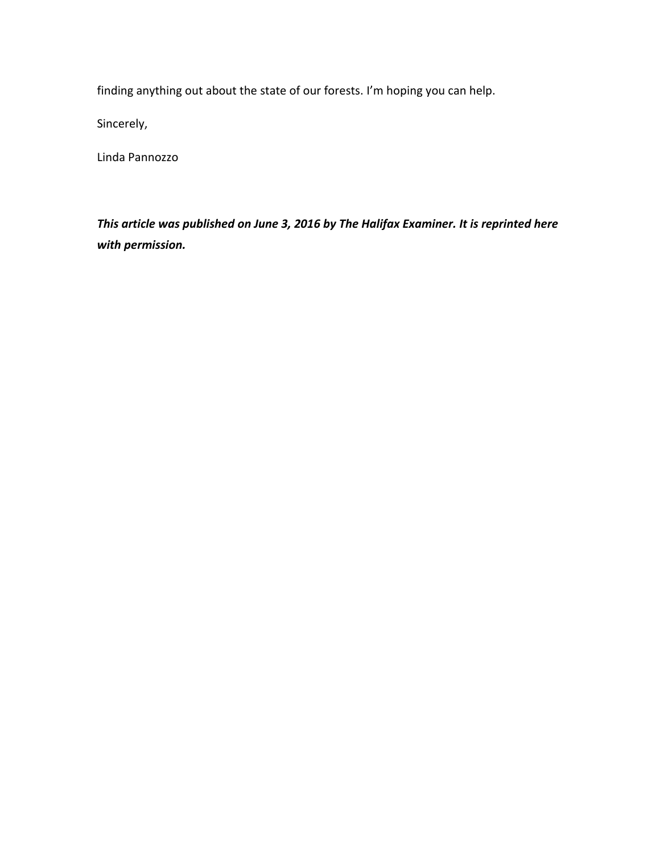finding anything out about the state of our forests. I'm hoping you can help.

Sincerely,

Linda Pannozzo

*This article was published on June 3, 2016 by The Halifax Examiner. It is reprinted here with permission.*